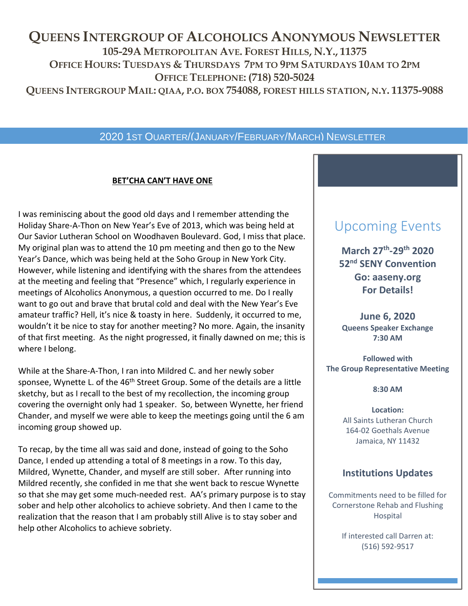## **QUEENS INTERGROUP OF ALCOHOLICS ANONYMOUS NEWSLETTER 105-29A METROPOLITAN AVE. FOREST HILLS, N.Y., 11375 OFFICE HOURS: TUESDAYS & THURSDAYS 7PM TO 9PM SATURDAYS 10AM TO 2PM OFFICE TELEPHONE: (718) 520-5024** QUEENS INTERGROUP MAIL: QIAA, P.O. BOX 754088, FOREST HILLS STATION, N.Y. 11375-9088

## 2020 1ST QUARTER/(JANUARY/FEBRUARY/MARCH) NEWSLETTER

#### **BET'CHA CAN'T HAVE ONE**

I was reminiscing about the good old days and I remember attending the Holiday Share-A-Thon on New Year's Eve of 2013, which was being held at Our Savior Lutheran School on Woodhaven Boulevard. God, I miss that place. My original plan was to attend the 10 pm meeting and then go to the New Year's Dance, which was being held at the Soho Group in New York City. However, while listening and identifying with the shares from the attendees at the meeting and feeling that "Presence" which, I regularly experience in meetings of Alcoholics Anonymous, a question occurred to me. Do I really want to go out and brave that brutal cold and deal with the New Year's Eve amateur traffic? Hell, it's nice & toasty in here. Suddenly, it occurred to me, wouldn't it be nice to stay for another meeting? No more. Again, the insanity of that first meeting. As the night progressed, it finally dawned on me; this is where I belong.

While at the Share-A-Thon, I ran into Mildred C. and her newly sober sponsee, Wynette L. of the 46<sup>th</sup> Street Group. Some of the details are a little sketchy, but as I recall to the best of my recollection, the incoming group covering the overnight only had 1 speaker. So, between Wynette, her friend Chander, and myself we were able to keep the meetings going until the 6 am incoming group showed up.

To recap, by the time all was said and done, instead of going to the Soho Dance, I ended up attending a total of 8 meetings in a row. To this day, Mildred, Wynette, Chander, and myself are still sober. After running into Mildred recently, she confided in me that she went back to rescue Wynette so that she may get some much-needed rest. AA's primary purpose is to stay sober and help other alcoholics to achieve sobriety. And then I came to the realization that the reason that I am probably still Alive is to stay sober and help other Alcoholics to achieve sobriety.

## Upcoming Events

**March 27th -29th 2020 52nd SENY Convention Go: aaseny.org For Details!**

**June 6, 2020 Queens Speaker Exchange 7:30 AM**

**Followed with The Group Representative Meeting**

**8:30 AM**

**Location:** All Saints Lutheran Church 164-02 Goethals Avenue Jamaica, NY 11432

## **Institutions Updates**

Commitments need to be filled for Cornerstone Rehab and Flushing Hospital

> If interested call Darren at: (516) 592-9517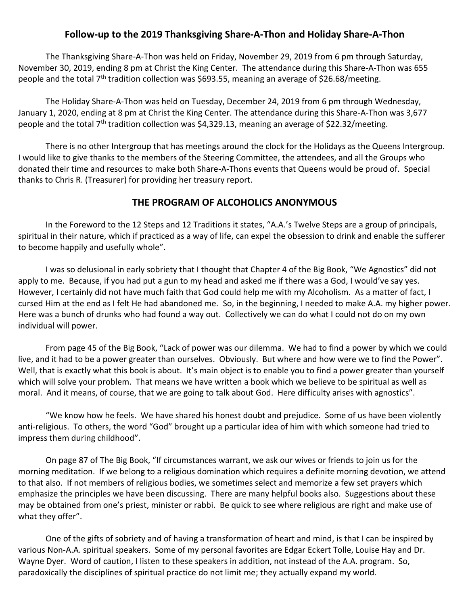### **Follow-up to the 2019 Thanksgiving Share-A-Thon and Holiday Share-A-Thon**

The Thanksgiving Share-A-Thon was held on Friday, November 29, 2019 from 6 pm through Saturday, November 30, 2019, ending 8 pm at Christ the King Center. The attendance during this Share-A-Thon was 655 people and the total 7<sup>th</sup> tradition collection was \$693.55, meaning an average of \$26.68/meeting.

The Holiday Share-A-Thon was held on Tuesday, December 24, 2019 from 6 pm through Wednesday, January 1, 2020, ending at 8 pm at Christ the King Center. The attendance during this Share-A-Thon was 3,677 people and the total 7<sup>th</sup> tradition collection was \$4,329.13, meaning an average of \$22.32/meeting.

There is no other Intergroup that has meetings around the clock for the Holidays as the Queens Intergroup. I would like to give thanks to the members of the Steering Committee, the attendees, and all the Groups who donated their time and resources to make both Share-A-Thons events that Queens would be proud of. Special thanks to Chris R. (Treasurer) for providing her treasury report.

### **THE PROGRAM OF ALCOHOLICS ANONYMOUS**

In the Foreword to the 12 Steps and 12 Traditions it states, "A.A.'s Twelve Steps are a group of principals, spiritual in their nature, which if practiced as a way of life, can expel the obsession to drink and enable the sufferer to become happily and usefully whole".

I was so delusional in early sobriety that I thought that Chapter 4 of the Big Book, "We Agnostics" did not apply to me. Because, if you had put a gun to my head and asked me if there was a God, I would've say yes. However, I certainly did not have much faith that God could help me with my Alcoholism. As a matter of fact, I cursed Him at the end as I felt He had abandoned me. So, in the beginning, I needed to make A.A. my higher power. Here was a bunch of drunks who had found a way out. Collectively we can do what I could not do on my own individual will power.

From page 45 of the Big Book, "Lack of power was our dilemma. We had to find a power by which we could live, and it had to be a power greater than ourselves. Obviously. But where and how were we to find the Power". Well, that is exactly what this book is about. It's main object is to enable you to find a power greater than yourself which will solve your problem. That means we have written a book which we believe to be spiritual as well as moral. And it means, of course, that we are going to talk about God. Here difficulty arises with agnostics".

"We know how he feels. We have shared his honest doubt and prejudice. Some of us have been violently anti-religious. To others, the word "God" brought up a particular idea of him with which someone had tried to impress them during childhood".

On page 87 of The Big Book, "If circumstances warrant, we ask our wives or friends to join us for the morning meditation. If we belong to a religious domination which requires a definite morning devotion, we attend to that also. If not members of religious bodies, we sometimes select and memorize a few set prayers which emphasize the principles we have been discussing. There are many helpful books also. Suggestions about these may be obtained from one's priest, minister or rabbi. Be quick to see where religious are right and make use of what they offer".

One of the gifts of sobriety and of having a transformation of heart and mind, is that I can be inspired by various Non-A.A. spiritual speakers. Some of my personal favorites are Edgar Eckert Tolle, Louise Hay and Dr. Wayne Dyer. Word of caution, I listen to these speakers in addition, not instead of the A.A. program. So, paradoxically the disciplines of spiritual practice do not limit me; they actually expand my world.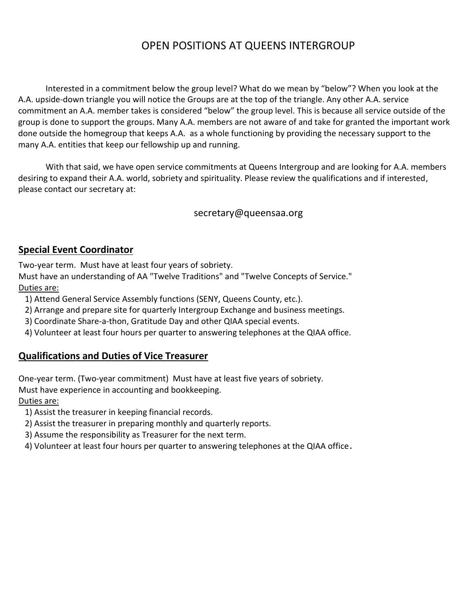## OPEN POSITIONS AT QUEENS INTERGROUP

Interested in a commitment below the group level? What do we mean by "below"? When you look at the A.A. upside-down triangle you will notice the Groups are at the top of the triangle. Any other A.A. service commitment an A.A. member takes is considered "below" the group level. This is because all service outside of the group is done to support the groups. Many A.A. members are not aware of and take for granted the important work done outside the homegroup that keeps A.A. as a whole functioning by providing the necessary support to the many A.A. entities that keep our fellowship up and running.

With that said, we have open service commitments at Queens Intergroup and are looking for A.A. members desiring to expand their A.A. world, sobriety and spirituality. Please review the qualifications and if interested, please contact our secretary at:

secretary@queensaa.org

## **Special Event Coordinator**

Two-year term. Must have at least four years of sobriety.

Must have an understanding of AA "Twelve Traditions" and "Twelve Concepts of Service." Duties are:

- 1) Attend General Service Assembly functions (SENY, Queens County, etc.).
- 2) Arrange and prepare site for quarterly Intergroup Exchange and business meetings.
- 3) Coordinate Share-a-thon, Gratitude Day and other QIAA special events.
- 4) Volunteer at least four hours per quarter to answering telephones at the QIAA office.

## **Qualifications and Duties of Vice Treasurer**

One-year term. (Two-year commitment) Must have at least five years of sobriety.

Must have experience in accounting and bookkeeping.

### Duties are:

- 1) Assist the treasurer in keeping financial records.
- 2) Assist the treasurer in preparing monthly and quarterly reports.
- 3) Assume the responsibility as Treasurer for the next term.
- 4) Volunteer at least four hours per quarter to answering telephones at the QIAA office.